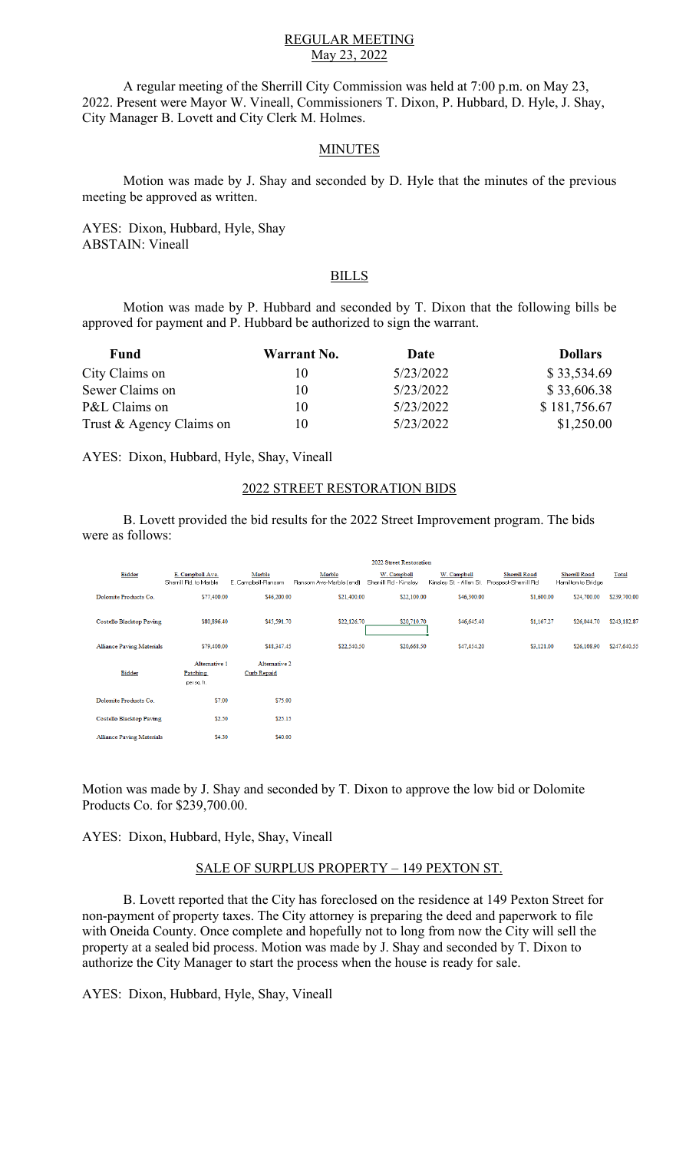## REGULAR MEETING May 23, 2022

A regular meeting of the Sherrill City Commission was held at 7:00 p.m. on May 23, 2022. Present were Mayor W. Vineall, Commissioners T. Dixon, P. Hubbard, D. Hyle, J. Shay, City Manager B. Lovett and City Clerk M. Holmes.

# **MINUTES**

Motion was made by J. Shay and seconded by D. Hyle that the minutes of the previous meeting be approved as written.

AYES: Dixon, Hubbard, Hyle, Shay ABSTAIN: Vineall

# BILLS

Motion was made by P. Hubbard and seconded by T. Dixon that the following bills be approved for payment and P. Hubbard be authorized to sign the warrant.

| Fund                     | Warrant No. | Date      | <b>Dollars</b> |
|--------------------------|-------------|-----------|----------------|
| City Claims on           | 10          | 5/23/2022 | \$33,534.69    |
| Sewer Claims on          | 10          | 5/23/2022 | \$33,606.38    |
| P&L Claims on            | 10          | 5/23/2022 | \$181,756.67   |
| Trust & Agency Claims on | 10          | 5/23/2022 | \$1,250.00     |

AYES: Dixon, Hubbard, Hyle, Shay, Vineall

#### 2022 STREET RESTORATION BIDS

B. Lovett provided the bid results for the 2022 Street Improvement program. The bids were as follows:

|                                  | 2022 Street Restoration                         |                                     |                                   |                                      |                                                             |                     |                                    |              |
|----------------------------------|-------------------------------------------------|-------------------------------------|-----------------------------------|--------------------------------------|-------------------------------------------------------------|---------------------|------------------------------------|--------------|
| Bidder                           | E. Campbell Ave.<br>Sherrill Rd, to Marble      | Marble<br>E. Campbell-Ransom        | Marble<br>Ransom Ave-Marble (end) | W. Campbell<br>Sherrill Rd - Kinsley | W. Campbell<br>Kinsley St. - Allen St. Prospect-Sherrill Rd | <b>Shemill Road</b> | Shemill Road<br>Hamilton to Bridge | Total        |
| Dolomite Products Co.            | \$77,400.00                                     | \$46,200.00                         | \$21,400.00                       | \$22,100.00                          | \$46,300.00                                                 | \$1,600.00          | \$24,700.00                        | \$239,700.00 |
| <b>Costello Blacktop Paving</b>  | \$80,896.40                                     | \$45,591.70                         | \$22,126.70                       | \$20,710.70                          | \$46,645.40                                                 | \$1,167.27          | \$26,044.70                        | \$243,182.87 |
| <b>Alliance Paving Materials</b> | \$79,400.00                                     | \$48,347.45                         | \$22,540.50                       | \$20,668.50                          | \$47,454.20                                                 | \$3,121.00          | \$26,108.90                        | \$247,640.55 |
| <b>Bidder</b>                    | Alternative 1<br><b>Patching</b><br>per sq. ft. | Alternative 2<br><b>Curb Repaid</b> |                                   |                                      |                                                             |                     |                                    |              |
| Dolomite Products Co.            | \$7.00                                          | \$75.00                             |                                   |                                      |                                                             |                     |                                    |              |
| <b>Costello Blacktop Paving</b>  | \$2.50                                          | \$25.15                             |                                   |                                      |                                                             |                     |                                    |              |
| <b>Alliance Paving Materials</b> | \$4.30                                          | \$40.00                             |                                   |                                      |                                                             |                     |                                    |              |

Motion was made by J. Shay and seconded by T. Dixon to approve the low bid or Dolomite Products Co. for \$239,700.00.

AYES: Dixon, Hubbard, Hyle, Shay, Vineall

# SALE OF SURPLUS PROPERTY – 149 PEXTON ST.

B. Lovett reported that the City has foreclosed on the residence at 149 Pexton Street for non-payment of property taxes. The City attorney is preparing the deed and paperwork to file with Oneida County. Once complete and hopefully not to long from now the City will sell the property at a sealed bid process. Motion was made by J. Shay and seconded by T. Dixon to authorize the City Manager to start the process when the house is ready for sale.

AYES: Dixon, Hubbard, Hyle, Shay, Vineall